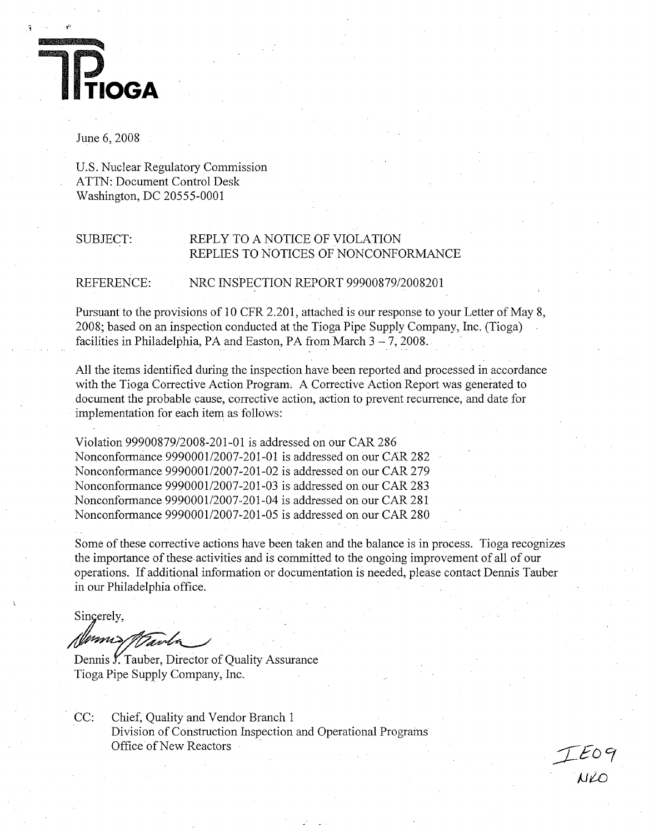

# June 6, 2008

U.S. Nuclear Regulatory Commission ATTN: Document Control Desk Washington, DC 20555-0001

# SUBJECT: REPLY TO A NOTICE OF VIOLATION REPLIES TO NOTICES OF NONCONFORMANCE

REFERENCE: NRC INSPECTION REPORT 99900879/2008201

Pursuant to the provisions of 10 CFR 2.201, attached is our response to your Letter of May 8, 2008; based on an inspection conducted at the Tioga Pipe Supply Company, Inc. (Tioga) facilities in Philadelphia, PA and Easton, PA from March  $3 - 7$ , 2008.

All the items identified during the inspection have been reported and processed in accordance with the Tioga Corrective Action Program. A Corrective Action Report was generated to document the probable cause, corrective action, action to prevent recurrence, and date for implementation for each item as follows:

Violation 99900879/2008-201-01 is addressed on our CAR 286 Nonconformance 9990001/2007-201-01 is addressed on our CAR 282 Nonconformance 9990001/2007-201-02 is addressed on our CAR 279 Nonconformance 9990001/2007-201-03 is addressed on our CAR 283 Nonconformance 9990001/2007-201-04 is addressed on our CAR 281 Nonconformance 9990001/2007-201-05 is addressed on our CAR 280

Some of these corrective actions have been taken and the balance is in process. Tioga recognizes the importance of these activities and is committed to the ongoing improvement of all of our operations. If additional information or documentation is needed, please contact Dennis Tauber in our Philadelphia office.

Sincerely,

{\\sms/T VanN

Dennis Y.Tauber, Director of Quality Assurance Tioga Pipe Supply Company, Inc.

CC: Chief, Quality and Vendor Branch 1 Division of Construction Inspection and Operational Programs Office of New Reactors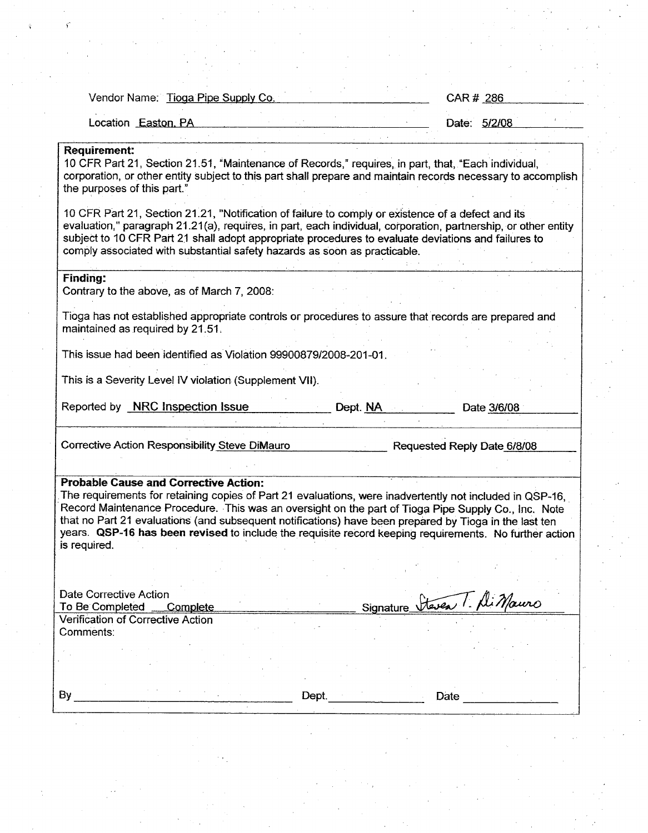| Vendor Name: Tioga Pipe Supply Co.                                                                                                                                                                                                                                                                                                                                                                                                                                                                  | CAR # 286                   |
|-----------------------------------------------------------------------------------------------------------------------------------------------------------------------------------------------------------------------------------------------------------------------------------------------------------------------------------------------------------------------------------------------------------------------------------------------------------------------------------------------------|-----------------------------|
| Location Easton, PA                                                                                                                                                                                                                                                                                                                                                                                                                                                                                 | Date: 5/2/08                |
| <b>Requirement:</b><br>10 CFR Part 21, Section 21.51, "Maintenance of Records," requires, in part, that, "Each individual,<br>corporation, or other entity subject to this part shall prepare and maintain records necessary to accomplish<br>the purposes of this part."<br>10 CFR Part 21, Section 21.21, "Notification of failure to comply or existence of a defect and its                                                                                                                     |                             |
| evaluation," paragraph 21.21(a), requires, in part, each individual, corporation, partnership, or other entity<br>subject to 10 CFR Part 21 shall adopt appropriate procedures to evaluate deviations and failures to<br>comply associated with substantial safety hazards as soon as practicable.                                                                                                                                                                                                  |                             |
| <b>Finding:</b><br>Contrary to the above, as of March 7, 2008:                                                                                                                                                                                                                                                                                                                                                                                                                                      |                             |
| Tioga has not established appropriate controls or procedures to assure that records are prepared and<br>maintained as required by 21.51.                                                                                                                                                                                                                                                                                                                                                            |                             |
| This issue had been identified as Violation 99900879/2008-201-01.                                                                                                                                                                                                                                                                                                                                                                                                                                   |                             |
| This is a Severity Level IV violation (Supplement VII).                                                                                                                                                                                                                                                                                                                                                                                                                                             |                             |
| Reported by <b>NRC Inspection Issue</b><br>Dept. NA                                                                                                                                                                                                                                                                                                                                                                                                                                                 | Date 3/6/08                 |
| <b>Corrective Action Responsibility Steve DiMauro</b>                                                                                                                                                                                                                                                                                                                                                                                                                                               | Requested Reply Date 6/8/08 |
| <b>Probable Cause and Corrective Action:</b><br>The requirements for retaining copies of Part 21 evaluations, were inadvertently not included in QSP-16,<br>Record Maintenance Procedure. This was an oversight on the part of Tioga Pipe Supply Co., Inc. Note<br>that no Part 21 evaluations (and subsequent notifications) have been prepared by Tioga in the last ten<br>years. QSP-16 has been revised to include the requisite record keeping requirements. No further action<br>is required. |                             |
|                                                                                                                                                                                                                                                                                                                                                                                                                                                                                                     |                             |
| Date Corrective Action<br>To Be Completed<br>Signature_<br>Complete                                                                                                                                                                                                                                                                                                                                                                                                                                 | Steven 1. Ali Mauro         |
| <b>Verification of Corrective Action</b><br>Comments:                                                                                                                                                                                                                                                                                                                                                                                                                                               |                             |
|                                                                                                                                                                                                                                                                                                                                                                                                                                                                                                     |                             |
| By<br>Dept.                                                                                                                                                                                                                                                                                                                                                                                                                                                                                         | Date                        |
|                                                                                                                                                                                                                                                                                                                                                                                                                                                                                                     |                             |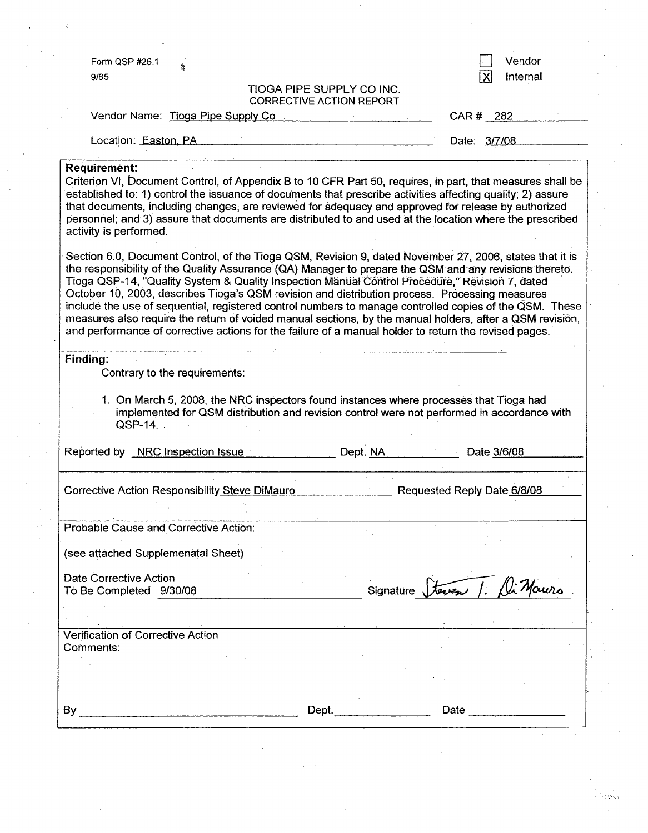| Form QSP #26.1<br>9/85                                                                                                                                                                                                                                                                                                                                                                                                                                                                                                                                                                                                                                                                                                                                 |                                                              |             | X                           | Vendor<br>Internal |
|--------------------------------------------------------------------------------------------------------------------------------------------------------------------------------------------------------------------------------------------------------------------------------------------------------------------------------------------------------------------------------------------------------------------------------------------------------------------------------------------------------------------------------------------------------------------------------------------------------------------------------------------------------------------------------------------------------------------------------------------------------|--------------------------------------------------------------|-------------|-----------------------------|--------------------|
|                                                                                                                                                                                                                                                                                                                                                                                                                                                                                                                                                                                                                                                                                                                                                        | TIOGA PIPE SUPPLY CO INC.<br><b>CORRECTIVE ACTION REPORT</b> |             |                             |                    |
| Vendor Name: Tioga Pipe Supply Co                                                                                                                                                                                                                                                                                                                                                                                                                                                                                                                                                                                                                                                                                                                      |                                                              |             | CAR # 282                   |                    |
| Location: Easton, PA                                                                                                                                                                                                                                                                                                                                                                                                                                                                                                                                                                                                                                                                                                                                   |                                                              |             | Date: 3/7/08                |                    |
| <b>Requirement:</b><br>Criterion VI, Document Control, of Appendix B to 10 CFR Part 50, requires, in part, that measures shall be<br>established to: 1) control the issuance of documents that prescribe activities affecting quality; 2) assure<br>that documents, including changes, are reviewed for adequacy and approved for release by authorized<br>personnel; and 3) assure that documents are distributed to and used at the location where the prescribed<br>activity is performed.                                                                                                                                                                                                                                                          |                                                              |             |                             |                    |
| Section 6.0, Document Control, of the Tioga QSM, Revision 9, dated November 27, 2006, states that it is<br>the responsibility of the Quality Assurance (QA) Manager to prepare the QSM and any revisions thereto.<br>Tioga QSP-14, "Quality System & Quality Inspection Manual Control Procedure," Revision 7, dated<br>October 10, 2003, describes Tioga's QSM revision and distribution process. Processing measures<br>include the use of sequential, registered control numbers to manage controlled copies of the QSM. These<br>measures also require the return of voided manual sections, by the manual holders, after a QSM revision,<br>and performance of corrective actions for the failure of a manual holder to return the revised pages. |                                                              |             |                             |                    |
|                                                                                                                                                                                                                                                                                                                                                                                                                                                                                                                                                                                                                                                                                                                                                        |                                                              |             |                             |                    |
|                                                                                                                                                                                                                                                                                                                                                                                                                                                                                                                                                                                                                                                                                                                                                        |                                                              |             |                             |                    |
| Finding:<br>Contrary to the requirements:                                                                                                                                                                                                                                                                                                                                                                                                                                                                                                                                                                                                                                                                                                              |                                                              |             |                             |                    |
| 1. On March 5, 2008, the NRC inspectors found instances where processes that Tioga had<br>implemented for QSM distribution and revision control were not performed in accordance with<br>$QSP-14$ .                                                                                                                                                                                                                                                                                                                                                                                                                                                                                                                                                    |                                                              |             |                             |                    |
| Reported by NRC Inspection Issue                                                                                                                                                                                                                                                                                                                                                                                                                                                                                                                                                                                                                                                                                                                       | Dept. NA                                                     |             | Date 3/6/08                 |                    |
|                                                                                                                                                                                                                                                                                                                                                                                                                                                                                                                                                                                                                                                                                                                                                        |                                                              |             | Requested Reply Date 6/8/08 |                    |
|                                                                                                                                                                                                                                                                                                                                                                                                                                                                                                                                                                                                                                                                                                                                                        |                                                              |             |                             |                    |
| Corrective Action Responsibility Steve DiMauro<br>Probable Cause and Corrective Action:<br>(see attached Supplemenatal Sheet)                                                                                                                                                                                                                                                                                                                                                                                                                                                                                                                                                                                                                          |                                                              |             |                             |                    |
| Date Corrective Action<br>To Be Completed 9/30/08                                                                                                                                                                                                                                                                                                                                                                                                                                                                                                                                                                                                                                                                                                      |                                                              | Signature J | teven 1.                    |                    |
|                                                                                                                                                                                                                                                                                                                                                                                                                                                                                                                                                                                                                                                                                                                                                        |                                                              |             |                             |                    |
| Verification of Corrective Action<br>Comments:                                                                                                                                                                                                                                                                                                                                                                                                                                                                                                                                                                                                                                                                                                         |                                                              |             |                             |                    |
|                                                                                                                                                                                                                                                                                                                                                                                                                                                                                                                                                                                                                                                                                                                                                        |                                                              |             |                             |                    |
| By                                                                                                                                                                                                                                                                                                                                                                                                                                                                                                                                                                                                                                                                                                                                                     | Dept. $\qquad \qquad$                                        |             | Date                        |                    |

 $\Delta \sim 0.01$ 

 $\frac{1}{2} \left( \frac{1}{2} \right)$ 

 $\mathcal{F}^{\mathcal{G}}$ 

 $\label{eq:2} \frac{1}{2} \left( \frac{1}{2} \right) \frac{1}{2} \left( \frac{1}{2} \right)$ 

 $\mathcal{A}_{\mathcal{A}}$ 

 $\mathcal{A}^{\mathcal{A}}$ 

 $\label{eq:2} \frac{1}{\sqrt{2}}\int_{0}^{\frac{1}{2}}\frac{1}{\sqrt{2}}\,dx$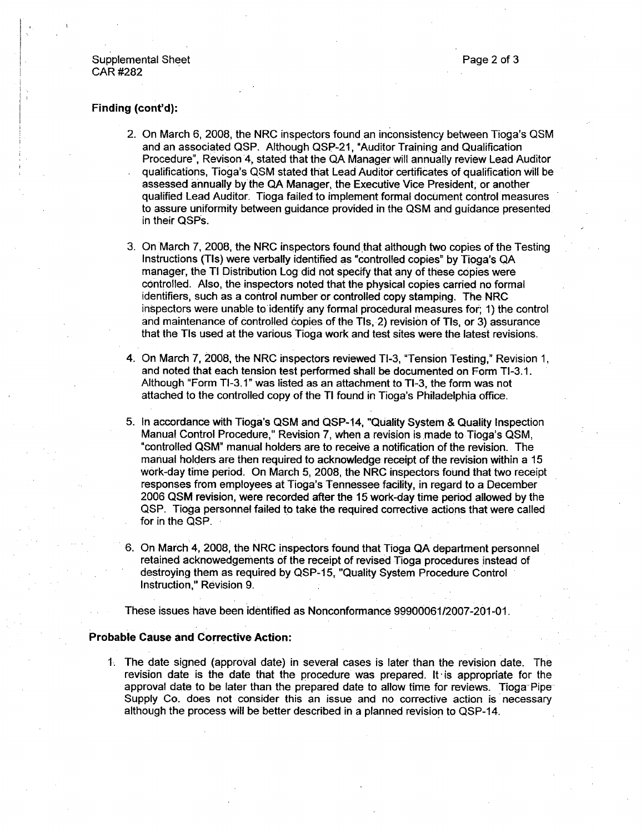# Supplemental Sheet **Page 2 of 3** and 3 of 3 CAR #282

### Finding (cont'd):

- 2. On March 6, 2008, the NRC inspectors found an inconsistency between Tioga's QSM and an associated QSP. Although QSP-21, "Auditor Training and Qualification Procedure", Revison 4, stated that the **QA** Manager will annually review Lead Auditor qualifications, Tioga's QSM stated that Lead Auditor certificates of qualification will be assessed annually by the QA Manager, the Executive Vice President, or another qualified Lead Auditor. Tioga failed to implement formal document control measures to assure uniformity between guidance provided in the QSM and guidance presented in their QSPs.
- 3. On March 7, 2008, the NRC inspectors found that although two copies of the Testing Instructions (TIs) were verbally identified as "controlled copies" by Tioga's QA manager, the TI Distribution Log did not specify that any of these copies were controlled. Also, the inspectors noted that the physical copies carried no formal identifiers, such as a control number or controlled copy stamping. The NRC inspectors were unable to identify any formal procedural measures for; 1) the control and maintenance of controlled copies of the TIs, 2) revision of TIs, or 3) assurance that the TIs used at the various Tioga work and test sites were the latest revisions.
- 4. On March 7, 2008, the NRC inspectors reviewed TI-3, "Tension Testing," Revision 1, and noted that each tension test performed shall be documented on Form TI-3. 1. Although "Form TI-3. 1" was listed as an attachment to TI-3, the form was not attached to the controlled copy of the Ti found in Tioga's Philadelphia office.
- 5. In accordance with Tioga's QSM and QSP-14, "Quality System & Quality Inspection Manual Control Procedure," Revision 7, when a revision is made to Tioga's QSM, "controlled QSM" manual holders are to receive a notification of the revision. The manual holders are then required to acknowledge receipt of the revision within a 15 work-day time period. On March 5, 2008, the NRC inspectors found that two receipt responses from employees at Tioga's Tennessee facility, in regard to a December 2006 QSM revision, were recorded after the 15 work-day time period allowed by the QSP. Tioga personnel failed to take the required corrective actions that were called for in the QSP.
- 6. On March 4, 2008, the NRC inspectors found that Tioga QA department personnel retained acknowedgements of the receipt of revised Tioga procedures instead of destroying them as required by QSP-15, "Quality System Procedure Control Instruction," Revision 9.
- These issues have been identified as Nonconformance 99900061/2007-201-01.

### Probable Cause and Corrective Action:

1. The date signed (approval date) in several cases is later than the revision date. The revision date is the date that the procedure was prepared. It is appropriate for the approval date to be later than the prepared date to allow time for reviews. Tioga Pipe Supply Co. does not consider this an issue and no corrective action is necessary although the process will be better described in a planned revision to QSP-14.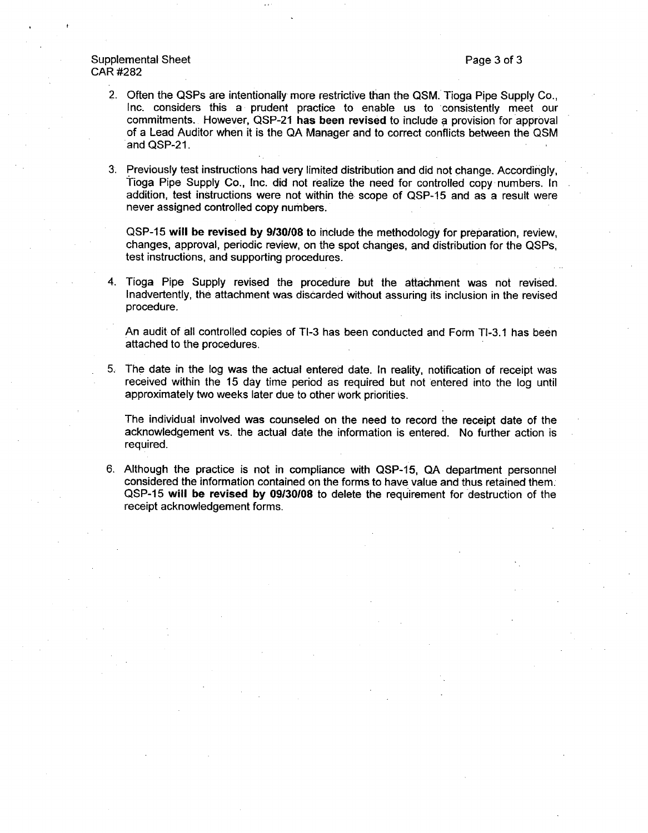# Supplemental Sheet **Page 3 of 3** and 3 of 3 CAR #282

- 2. Often the QSPs are intentionally more restrictive than the QSM. Tioga Pipe Supply Co., Inc. considers this a prudent practice to enable us to consistently meet our commitments. However, QSP-21 has been revised to include a provision for approval of a Lead Auditor when it is the QA Manager and to correct conflicts between the QSM and QSP-21.
- **3.** Previously test instructions had very limited distribution and did not change. Accordingly, Tioga Pipe Supply Co., Inc. did not realize the need for controlled copy numbers. In addition, test instructions were not within the scope of QSP-15 and as a result were never assigned controlled copy numbers.

QSP-15 will be revised by 9/30/08 to include the methodology for preparation, review, changes, approval, periodic review, on the spot changes, and distribution for the QSPs, test instructions, and supporting procedures.

4. Tioga Pipe Supply revised the procedure but the attachment was not revised. Inadvertently, the attachment was discarded without assuring its inclusion in the revised procedure.

An audit of all controlled copies of TI-3 has been conducted and Form TI-3.1 has been attached to the procedures.

**5.** The date in the log was the actual entered date. In reality, notification of receipt was received within the 15 day time period as required but not entered into the log until approximately two weeks later due to other work priorities.

The individual involved was counseled on the need to record the receipt date of the acknowledgement vs. the actual date the information is entered. No further action is required.

6. Although the practice is not in compliance with QSP-15, QA department personnel considered the information contained on the forms to have value and thus retained them. QSP-15 will be revised by 09/30108 to delete the requirement for destruction of the receipt acknowledgement forms.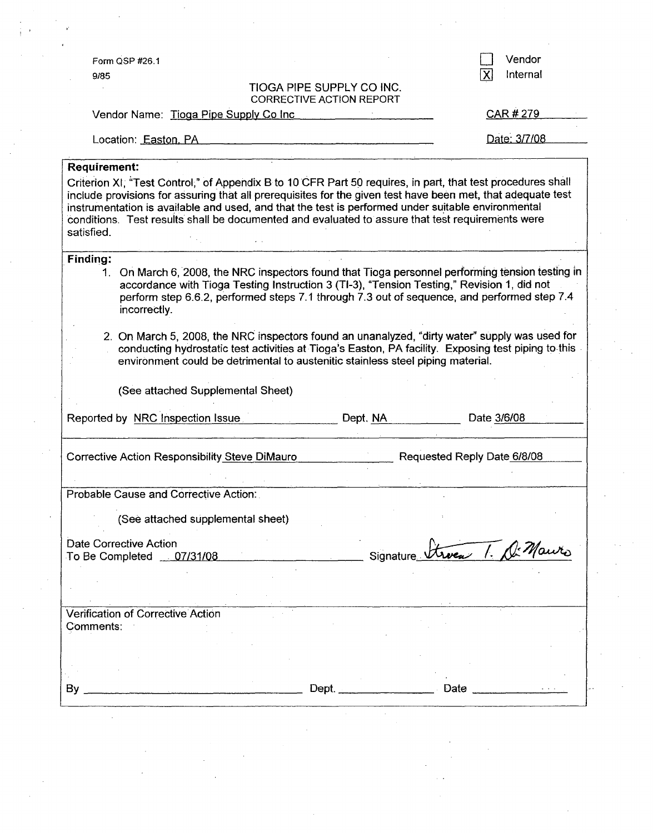| Form QSP #26.1                                                                                 |                                                                                 | Vendor                                                                                                                                                                                                                                                                                                                                                                                                                               |
|------------------------------------------------------------------------------------------------|---------------------------------------------------------------------------------|--------------------------------------------------------------------------------------------------------------------------------------------------------------------------------------------------------------------------------------------------------------------------------------------------------------------------------------------------------------------------------------------------------------------------------------|
| 9/85                                                                                           |                                                                                 | Internal<br>X                                                                                                                                                                                                                                                                                                                                                                                                                        |
|                                                                                                | TIOGA PIPE SUPPLY CO INC.<br><b>CORRECTIVE ACTION REPORT</b>                    |                                                                                                                                                                                                                                                                                                                                                                                                                                      |
| Vendor Name: Tioga Pipe Supply Co Inc                                                          |                                                                                 | CAR # 279                                                                                                                                                                                                                                                                                                                                                                                                                            |
|                                                                                                |                                                                                 |                                                                                                                                                                                                                                                                                                                                                                                                                                      |
| Location: Easton, PA                                                                           |                                                                                 | Date: 3/7/08                                                                                                                                                                                                                                                                                                                                                                                                                         |
| <b>Requirement:</b>                                                                            |                                                                                 |                                                                                                                                                                                                                                                                                                                                                                                                                                      |
| satisfied.                                                                                     |                                                                                 | Criterion XI, "Test Control," of Appendix B to 10 CFR Part 50 requires, in part, that test procedures shall<br>include provisions for assuring that all prerequisites for the given test have been met, that adequate test<br>instrumentation is available and used, and that the test is performed under suitable environmental<br>conditions. Test results shall be documented and evaluated to assure that test requirements were |
| <b>Finding:</b><br>1.<br>incorrectly.                                                          |                                                                                 | On March 6, 2008, the NRC inspectors found that Tioga personnel performing tension testing in<br>accordance with Tioga Testing Instruction 3 (TI-3), "Tension Testing," Revision 1, did not<br>perform step 6.6.2, performed steps 7.1 through 7.3 out of sequence, and performed step 7.4                                                                                                                                           |
| 2. On March 5, 2008, the NRC inspectors found an unanalyzed, "dirty water" supply was used for |                                                                                 | conducting hydrostatic test activities at Tioga's Easton, PA facility. Exposing test piping to this                                                                                                                                                                                                                                                                                                                                  |
| (See attached Supplemental Sheet)<br>Reported by NRC Inspection Issue                          | environment could be detrimental to austenitic stainless steel piping material. | Date 3/6/08<br>Dept. NA                                                                                                                                                                                                                                                                                                                                                                                                              |
| Corrective Action Responsibility Steve DiMauro                                                 |                                                                                 | Requested Reply Date 6/8/08                                                                                                                                                                                                                                                                                                                                                                                                          |
|                                                                                                |                                                                                 |                                                                                                                                                                                                                                                                                                                                                                                                                                      |
| Probable Cause and Corrective Action:                                                          |                                                                                 |                                                                                                                                                                                                                                                                                                                                                                                                                                      |
| (See attached supplemental sheet)                                                              |                                                                                 |                                                                                                                                                                                                                                                                                                                                                                                                                                      |
| Date Corrective Action                                                                         |                                                                                 |                                                                                                                                                                                                                                                                                                                                                                                                                                      |
| To Be Completed 07/31/08                                                                       |                                                                                 | Signature Streen 1. De Mauro                                                                                                                                                                                                                                                                                                                                                                                                         |
|                                                                                                |                                                                                 |                                                                                                                                                                                                                                                                                                                                                                                                                                      |
| Verification of Corrective Action                                                              |                                                                                 |                                                                                                                                                                                                                                                                                                                                                                                                                                      |
| Comments:                                                                                      |                                                                                 |                                                                                                                                                                                                                                                                                                                                                                                                                                      |
|                                                                                                |                                                                                 |                                                                                                                                                                                                                                                                                                                                                                                                                                      |
|                                                                                                |                                                                                 |                                                                                                                                                                                                                                                                                                                                                                                                                                      |

 $\mathcal{O}(\mathcal{O})$ 

 $\label{eq:2.1} \frac{1}{2} \sum_{i=1}^n \frac{1}{2} \sum_{j=1}^n \frac{1}{2} \sum_{j=1}^n \frac{1}{2} \sum_{j=1}^n \frac{1}{2} \sum_{j=1}^n \frac{1}{2} \sum_{j=1}^n \frac{1}{2} \sum_{j=1}^n \frac{1}{2} \sum_{j=1}^n \frac{1}{2} \sum_{j=1}^n \frac{1}{2} \sum_{j=1}^n \frac{1}{2} \sum_{j=1}^n \frac{1}{2} \sum_{j=1}^n \frac{1}{2} \sum_{j=1}^n \frac{$ 

 $\mathcal{L}^{\text{max}}_{\text{max}}$ 

 $\mathcal{O}(1)$ 

 $\mathcal{F}(\mathcal{F})$  ,  $\mathcal{F}(\mathcal{F})$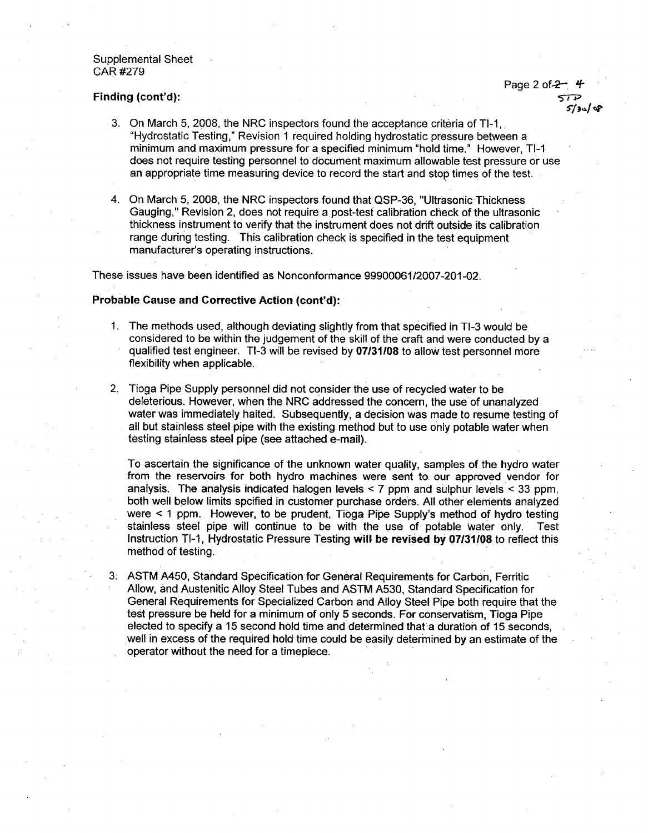### Supplemental Sheet CAR #279

Page 2 of-2- - Finding (cont'd):

- 3. On March 5, 2008, the NRC inspectors found the acceptance criteria of TI-1, "Hydrostatic Testing," Revision **I** required holding hydrostatic pressure between a minimum and maximum pressure for a specified minimum "hold time." However, TI-1 does not require testing personnel to document maximum allowable test pressure or use an appropriate time measuring device to record the start and stop times of the test.
- 4. On March 5, 2008, the NRC inspectors found that QSP-36, "Ultrasonic Thickness Gauging," Revision 2, does not require a post-test calibration check of the ultrasonic thickness instrument to verify that the instrument does not drift outside its calibration range during testing. This calibration check is specified in the test equipment manufacturer's operating instructions.

These issues have been identified as Nonconformance 99900061/2007-201-02.

### Probable Cause and Corrective Action (cont'd):

- 1. The methods used, although deviating slightly from that specified in TI-3 would be considered to be within the judgement of the skill of the craft and were conducted by a qualified test engineer. TI-3 will be revised by 07/31108 to allow test personnel more flexibility when applicable.
- 2. Tioga Pipe Supply personnel did not consider the use of recycled water to be deleterious. However, when the NRC addressed the concern, the use of unanalyzed water was immediately halted. Subsequently, a decision was made to resume testing of all but stainless steel pipe with the existing method but to use only potable water when testing stainless steel pipe (see attached e-mail).

To ascertain the significance of the unknown water quality, samples of the hydro water from the reservoirs for both hydro machines were sent to, our approved vendor for analysis. The analysis indicated halogen levels  $\leq$  7 ppm and sulphur levels  $\leq$  33 ppm, both well below limits spcified in customer purchase orders. All other elements analyzed were < 1 ppm. However, to be prudent, Tioga Pipe Supply's method of hydro testing stainless steel pipe will continue to be with the use of potable water only. Test Instruction TI-1, Hydrostatic Pressure Testing will be revised **by** 07131108 to reflect this method of testing.

3. ASTM A450, Standard Specification for General Requirements for Carbon, Ferritic Allow, and Austenitic Alloy Steel Tubes and ASTM A530, Standard Specification for General Requirements for Specialized Carbon and Alloy Steel Pipe both require that the test pressure be held for a minimum of only 5 seconds. For conservatism, Tioga Pipe elected to specify a 15 second hold time and determined that a duration of 15 seconds, well in excess of the required hold time could be easily determined by an estimate of the operator without the need for a timepiece.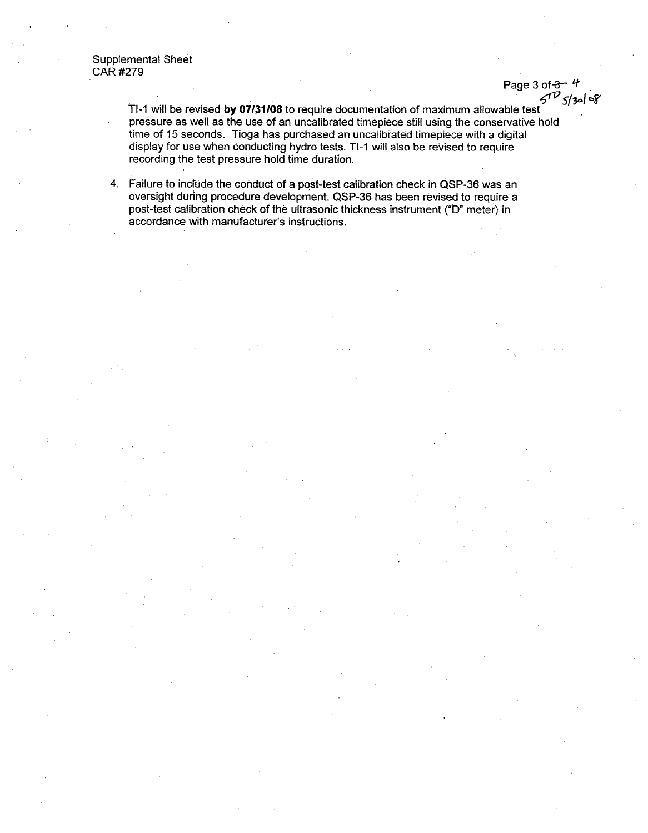Supplemental Sheet CAR #279

> Page 3 of  $3 - 4$ **<1 <sup>2</sup> <sup>5</sup>***fV5* **<sup>1</sup> <sup>3</sup>** *-1* **W**

TI-1 will be revised by **07131108** to require documentation of maximum allowable test pressure as well as the use of an uncalibrated timepiece still using the conservative hold time of 15 seconds. Tioga has purchased an uncalibrated timepiece with a digital display for use when conducting hydro tests. TI-1 will also be revised to require recording the test pressure hold time duration.

4. Failure to include the conduct of a post-test calibration check in QSP-36 was an oversight during procedure development. QSP-36 has been revised to require a post-test calibration check of the ultrasonic thickness instrument ("D' meter) in accordance with manufacturer's instructions.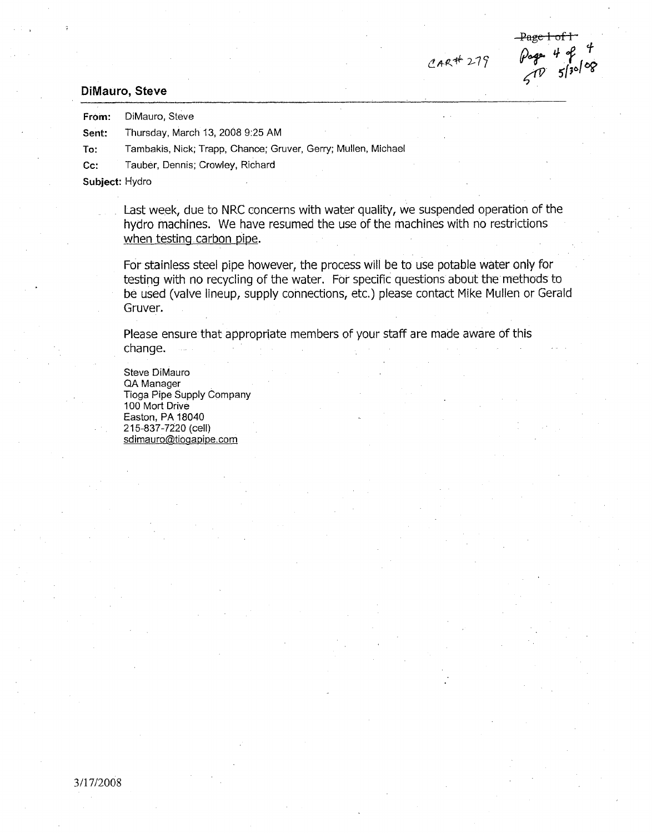# **~Ai2-77**

Page 1 of 1<br>Pogs 4 of 4<br> $\frac{4}{5}$  130/08

### DiMauro, Steve

From: DiMauro, Steve

Sent: Thursday, March 13, 2008 9:25 AM

To: Tambakis, Nick; Trapp, Chance; Gruver, Gerry; Mullen, Michael

Cc: Tauber, Dennis; Crowley, Richard

Subject: Hydro

Last week, due to NRC concerns with water quality, we suspended operation of the hydro machines. We have resumed the use of the machines with no restrictions when testing carbon pipe.

For stainless steel pipe however, the process will be to use potable water only for testing with no recycling of the water. For specific questions about the methods to be used (valve lineup, supply connections, etc.) please contact Mike Mullen or Gerald Gruver.

Please ensure that appropriate members of your staff are made aware of this change.

Steve DiMauro QA Manager Tioga Pipe Supply Company 100 Mort Drive Easton, PA 18040 215-837-7220 (cell) sdimauro@tiogapipe.com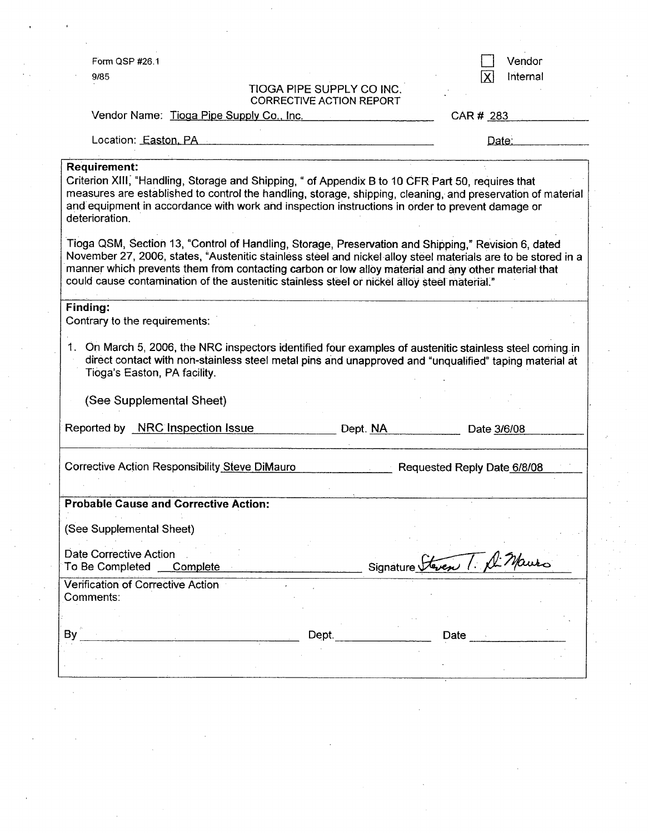Form QSP #26.1

9/85

TIOGA PIPE SUPPLY CO INC.

□ Vendor<br>区 Internal Internal

|                                                                                                                     | <b>CORRECTIVE ACTION REPORT</b>                                                                                                                                                                                                                                                                                             |
|---------------------------------------------------------------------------------------------------------------------|-----------------------------------------------------------------------------------------------------------------------------------------------------------------------------------------------------------------------------------------------------------------------------------------------------------------------------|
| Vendor Name: Tioga Pipe Supply Co., Inc.                                                                            | CAR# 283                                                                                                                                                                                                                                                                                                                    |
| Location: Easton, PA                                                                                                | Date:                                                                                                                                                                                                                                                                                                                       |
| <b>Requirement:</b>                                                                                                 |                                                                                                                                                                                                                                                                                                                             |
| Criterion XIII, "Handling, Storage and Shipping, " of Appendix B to 10 CFR Part 50, requires that<br>deterioration. | measures are established to control the handling, storage, shipping, cleaning, and preservation of material<br>and equipment in accordance with work and inspection instructions in order to prevent damage or                                                                                                              |
| could cause contamination of the austenitic stainless steel or nickel alloy steel material."                        | Tioga QSM, Section 13, "Control of Handling, Storage, Preservation and Shipping," Revision 6, dated<br>November 27, 2006, states, "Austenitic stainless steel and nickel alloy steel materials are to be stored in a<br>manner which prevents them from contacting carbon or low alloy material and any other material that |
| Finding:<br>Contrary to the requirements:                                                                           |                                                                                                                                                                                                                                                                                                                             |
| 1.<br>Tioga's Easton, PA facility.<br>(See Supplemental Sheet)                                                      | On March 5, 2006, the NRC inspectors identified four examples of austenitic stainless steel coming in<br>direct contact with non-stainless steel metal pins and unapproved and "unqualified" taping material at                                                                                                             |
| Reported by NRC Inspection Issue                                                                                    | Dept. NA<br>Date 3/6/08                                                                                                                                                                                                                                                                                                     |
| Corrective Action Responsibility Steve DiMauro                                                                      | Requested Reply Date 6/8/08                                                                                                                                                                                                                                                                                                 |
| <b>Probable Cause and Corrective Action:</b>                                                                        |                                                                                                                                                                                                                                                                                                                             |
| (See Supplemental Sheet)                                                                                            |                                                                                                                                                                                                                                                                                                                             |
| Date Corrective Action<br>To Be Completed<br>Complete                                                               | Signature <del>Steven</del> T. A. Mauro                                                                                                                                                                                                                                                                                     |
| Verification of Corrective Action<br>Comments:                                                                      |                                                                                                                                                                                                                                                                                                                             |
|                                                                                                                     |                                                                                                                                                                                                                                                                                                                             |
| By                                                                                                                  | Dept.<br>Date                                                                                                                                                                                                                                                                                                               |
|                                                                                                                     |                                                                                                                                                                                                                                                                                                                             |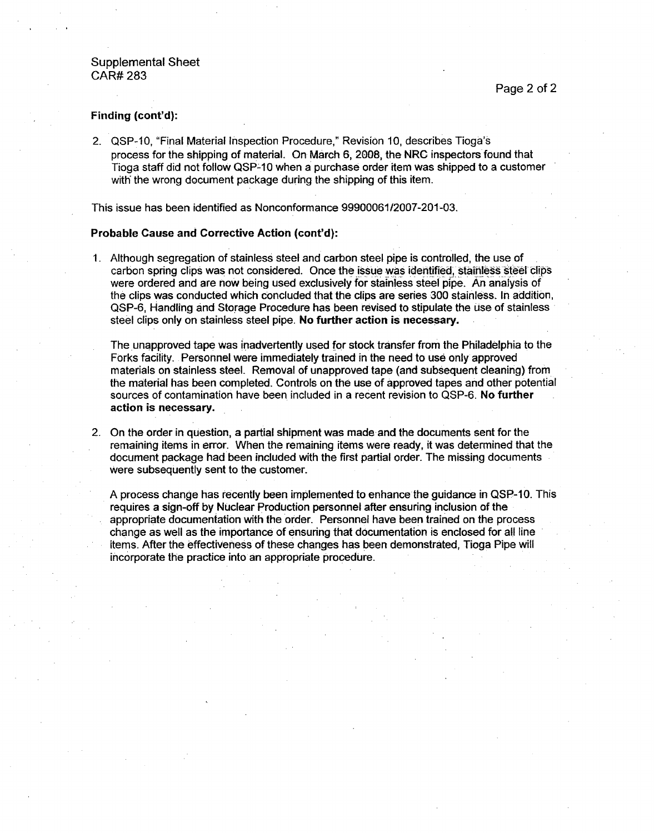# Finding (cont'd):

2. QSP-10, "Final Material Inspection Procedure," Revision 10, describes Tioga's process for the shipping of material. On March 6, 2008, the NRC inspectors found that Tioga staff did not follow QSP-10 when a purchase order item was shipped to a customer with the wrong document package during the shipping of this item.

This issue has been identified as Nonconformance 99900061/2007-201-03.

### Probable Cause and Corrective Action (cont'd):

1. Although segregation of stainless steel and carbon steel pipe is controlled, the use of carbon spring clips was not considered. Once the issue was identified, stainless steel clips were ordered and are now being used exclusively for stainless steel pipe. An analysis of the clips was conducted which concluded that the clips are series 300 stainless. In addition, QSP-6, Handling and Storage Procedure has been revised to stipulate the use of stainless steel clips only on stainless steel pipe. No further action is necessary.

The unapproved tape was inadvertently used for stock transfer from the Philadelphia to the Forks facility. Personnel were immediately trained in the need to use only approved materials on stainless steel. Removal of unapproved tape (and subsequent cleaning) from the material has been completed. Controls on the use of approved tapes and other potential sources of contamination have been included in a recent revision to QSP-6. No further action is necessary.

2. On the order in question, a partial shipment was made and the documents sent for the remaining items in error. When the remaining items were ready, it was determined that the document package had been included with the first partial order. The missing documents were subsequently sent to the customer.

A process change has recently been implemented to enhance the guidance in QSP-10. This requires a sign-off by Nuclear Production personnel after ensuring inclusion of the appropriate documentation with the order. Personnel have been trained on the process change as well as the importance of ensuring that documentation is enclosed for all line items. After the effectiveness of these changes has been demonstrated, Tioga Pipe will incorporate the practice into an appropriate procedure.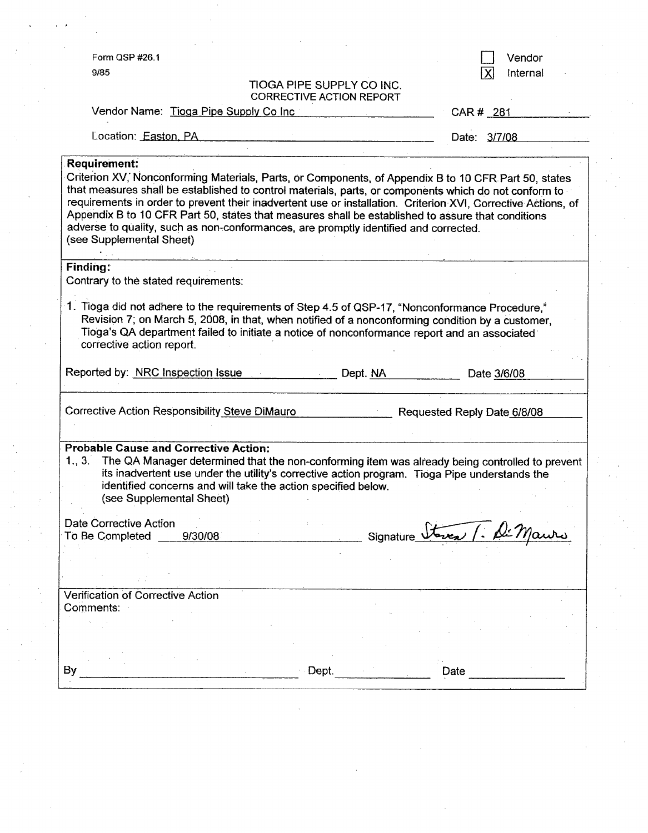|                                                                                                                                                                                                                                                                                                                                                                                                                                                                                                                                                                         |                                                              | Vendor                      |
|-------------------------------------------------------------------------------------------------------------------------------------------------------------------------------------------------------------------------------------------------------------------------------------------------------------------------------------------------------------------------------------------------------------------------------------------------------------------------------------------------------------------------------------------------------------------------|--------------------------------------------------------------|-----------------------------|
| 9/85                                                                                                                                                                                                                                                                                                                                                                                                                                                                                                                                                                    | TIOGA PIPE SUPPLY CO INC.<br><b>CORRECTIVE ACTION REPORT</b> | Internal                    |
| Vendor Name: Tioga Pipe Supply Co Inc                                                                                                                                                                                                                                                                                                                                                                                                                                                                                                                                   |                                                              | CAR # 281                   |
| Location: Easton, PA                                                                                                                                                                                                                                                                                                                                                                                                                                                                                                                                                    |                                                              | Date: 3/7/08                |
| Requirement:<br>Criterion XV, Nonconforming Materials, Parts, or Components, of Appendix B to 10 CFR Part 50, states<br>that measures shall be established to control materials, parts, or components which do not conform to<br>requirements in order to prevent their inadvertent use or installation. Criterion XVI, Corrective Actions, of<br>Appendix B to 10 CFR Part 50, states that measures shall be established to assure that conditions<br>adverse to quality, such as non-conformances, are promptly identified and corrected.<br>(see Supplemental Sheet) |                                                              |                             |
| <b>Finding:</b><br>Contrary to the stated requirements:                                                                                                                                                                                                                                                                                                                                                                                                                                                                                                                 |                                                              |                             |
| 1. Tioga did not adhere to the requirements of Step 4.5 of QSP-17, "Nonconformance Procedure,"<br>Revision 7; on March 5, 2008, in that, when notified of a nonconforming condition by a customer,<br>Tioga's QA department failed to initiate a notice of nonconformance report and an associated<br>corrective action report.                                                                                                                                                                                                                                         |                                                              |                             |
| Reported by: NRC Inspection Issue                                                                                                                                                                                                                                                                                                                                                                                                                                                                                                                                       | Dept. NA                                                     | Date 3/6/08                 |
|                                                                                                                                                                                                                                                                                                                                                                                                                                                                                                                                                                         |                                                              | Requested Reply Date 6/8/08 |
| 1., 3.<br>The QA Manager determined that the non-conforming item was already being controlled to prevent<br>its inadvertent use under the utility's corrective action program. Tioga Pipe understands the<br>identified concerns and will take the action specified below.<br>(see Supplemental Sheet)                                                                                                                                                                                                                                                                  |                                                              |                             |
| 9/30/08                                                                                                                                                                                                                                                                                                                                                                                                                                                                                                                                                                 | Signature_                                                   |                             |
|                                                                                                                                                                                                                                                                                                                                                                                                                                                                                                                                                                         |                                                              |                             |
|                                                                                                                                                                                                                                                                                                                                                                                                                                                                                                                                                                         |                                                              |                             |
|                                                                                                                                                                                                                                                                                                                                                                                                                                                                                                                                                                         |                                                              |                             |
| Corrective Action Responsibility Steve DiMauro<br><b>Probable Cause and Corrective Action:</b><br>Date Corrective Action<br>To Be Completed<br>Verification of Corrective Action<br>Comments:                                                                                                                                                                                                                                                                                                                                                                           |                                                              |                             |

 $\hat{\mathcal{L}}$ 

 $\hat{\mathcal{F}}$ 

 $\mathcal{F}_{\mathcal{G}}$ 

 $\label{eq:2} \frac{1}{\sqrt{2}}\frac{1}{\sqrt{2}}\frac{1}{\sqrt{2}}\frac{1}{\sqrt{2}}\frac{1}{\sqrt{2}}\frac{1}{\sqrt{2}}\frac{1}{\sqrt{2}}\frac{1}{\sqrt{2}}\frac{1}{\sqrt{2}}\frac{1}{\sqrt{2}}\frac{1}{\sqrt{2}}\frac{1}{\sqrt{2}}\frac{1}{\sqrt{2}}\frac{1}{\sqrt{2}}\frac{1}{\sqrt{2}}\frac{1}{\sqrt{2}}\frac{1}{\sqrt{2}}\frac{1}{\sqrt{2}}\frac{1}{\sqrt{2}}\frac{1}{\sqrt{2}}\frac{1}{\sqrt{2}}\frac{$ 

 $\frac{1}{2}$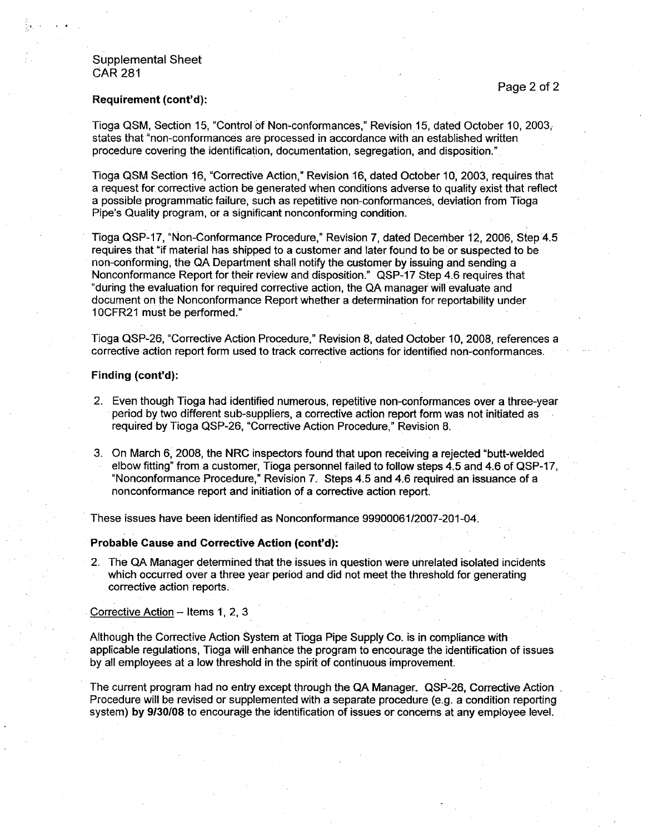# Supplemental Sheet CAR 281

### Requirement (cont'd):

Tioga QSM, Section 15, "Control of Non-conformances," Revision 15, dated October 10, 2003,. states that "non-conformances are processed in accordance with an established written procedure covering the identification, documentation, segregation, and disposition."

Tioga QSM Section 16, "Corrective Action," Revision 16, dated October 10, 2003, requires that a request for. corrective action be generated when conditions adverse to quality exist that reflect a possible programmatic failure, such as repetitive non-conformances, deviation from Tioga Pipe's Quality program, or a significant nonconforming condition.

Tioga QSP-17, "Non-Conformance Procedure," Revision 7, dated December 12, 2006, Step 4.5 requires that "if material has shipped to a customer and later found to be or suspected to be non-conforming, the QA Department shall notify the customer by issuing and sending a Nonconformance Report for their review and disposition." QSP-17 Step 4.6 requires that "during the evaluation for required corrective action, the QA manager will evaluate and document on the Nonconformance Report whether a determination for reportability under 10CFR21 must be performed."

Tioga QSP-26, "Corrective Action Procedure," Revision 8, dated October 10, 2008, references a corrective action report form used to track corrective actions for identified non-conformances.

### Finding (cont'd):

- 2. Even though Tioga had identified numerous, repetitive non-conformances over a three-year period by two different sub-suppliers, a corrective action report form was not initiated as required by Tioga QSP-26, "Corrective Action Procedure," Revision 8.
- 3. On March **6,** 2008, the NRC inspectors found that upon receiving a rejected "butt-welded elbow fitting" from a customer, Tioga personnel failed to follow steps 4.5 and 4.6 of QSP-17, "Nonconformance Procedure," Revision 7. Steps 4.5 and 4.6 required an issuance of a nonconformance report and initiation of a corrective action report.

These issues have been identified as Nonconformance 99900061/2007-201-04.

### Probable Cause and Corrective Action (cont'd):

2. The QA Manager determined that the issues in question were unrelated isolated incidents which occurred over a three year period and did not meet the threshold for generating corrective action reports.

Corrective Action - Items 1, 2, 3

Although the Corrective Action System at Tioga Pipe Supply Co. is in compliance with applicable regulations, Tioga will enhance the program to encourage the identification of issues by all employees at a low threshold in the spirit of continuous improvement.

The current program had no entry except through the QA Manager. QSP-26, Corrective Action Procedure will be revised or supplemented with a separate procedure (e.g. a condition reporting system) by 9/30/08 to encourage the identification of issues or concerns at any employee level.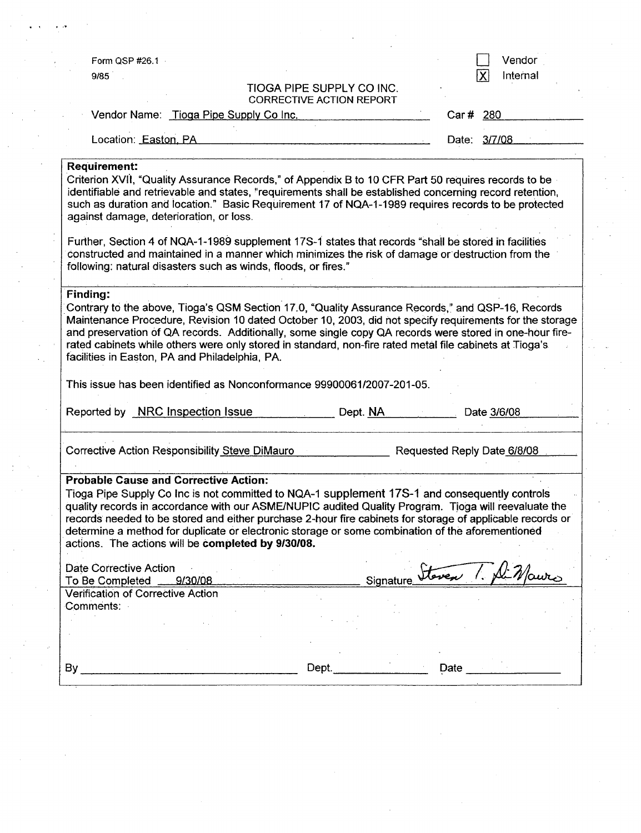| Form QSP #26.1                                                                                    |                                                                                                                                                                                                                                                                                                                                                                                                                                                                              |                                 |                             | Vendor                                    |
|---------------------------------------------------------------------------------------------------|------------------------------------------------------------------------------------------------------------------------------------------------------------------------------------------------------------------------------------------------------------------------------------------------------------------------------------------------------------------------------------------------------------------------------------------------------------------------------|---------------------------------|-----------------------------|-------------------------------------------|
| 9/85                                                                                              |                                                                                                                                                                                                                                                                                                                                                                                                                                                                              |                                 |                             | $ {\boldsymbol{\mathsf{X}}} $<br>Internal |
|                                                                                                   |                                                                                                                                                                                                                                                                                                                                                                                                                                                                              | TIOGA PIPE SUPPLY CO INC.       |                             |                                           |
|                                                                                                   |                                                                                                                                                                                                                                                                                                                                                                                                                                                                              | <b>CORRECTIVE ACTION REPORT</b> |                             |                                           |
|                                                                                                   | Vendor Name: Tioga Pipe Supply Co Inc.                                                                                                                                                                                                                                                                                                                                                                                                                                       |                                 | Car # 280                   |                                           |
| Location: Easton, PA                                                                              |                                                                                                                                                                                                                                                                                                                                                                                                                                                                              |                                 |                             | Date: 3/7/08                              |
|                                                                                                   |                                                                                                                                                                                                                                                                                                                                                                                                                                                                              |                                 |                             |                                           |
| <b>Requirement:</b><br>against damage, deterioration, or loss.                                    | Criterion XVII, "Quality Assurance Records," of Appendix B to 10 CFR Part 50 requires records to be<br>identifiable and retrievable and states, "requirements shall be established concerning record retention,<br>such as duration and location." Basic Requirement 17 of NQA-1-1989 requires records to be protected                                                                                                                                                       |                                 |                             |                                           |
|                                                                                                   | Further, Section 4 of NQA-1-1989 supplement 17S-1 states that records "shall be stored in facilities<br>constructed and maintained in a manner which minimizes the risk of damage or destruction from the<br>following: natural disasters such as winds, floods, or fires."                                                                                                                                                                                                  |                                 |                             |                                           |
| Contrary to the above, Tioga's QSM Section 17.0, "Quality Assurance Records," and QSP-16, Records | Maintenance Procedure, Revision 10 dated October 10, 2003, did not specify requirements for the storage<br>and preservation of QA records. Additionally, some single copy QA records were stored in one-hour fire-                                                                                                                                                                                                                                                           |                                 |                             |                                           |
| facilities in Easton, PA and Philadelphia, PA.                                                    | rated cabinets while others were only stored in standard, non-fire rated metal file cabinets at Tioga's<br>This issue has been identified as Nonconformance 99900061/2007-201-05.                                                                                                                                                                                                                                                                                            |                                 |                             |                                           |
| Reported by NRC Inspection Issue                                                                  |                                                                                                                                                                                                                                                                                                                                                                                                                                                                              | Dept. NA                        |                             | Date 3/6/08                               |
|                                                                                                   | <b>Corrective Action Responsibility Steve DiMauro</b>                                                                                                                                                                                                                                                                                                                                                                                                                        |                                 | Requested Reply Date 6/8/08 |                                           |
| <b>Probable Cause and Corrective Action:</b>                                                      | Tioga Pipe Supply Co Inc is not committed to NQA-1 supplement 17S-1 and consequently controls<br>quality records in accordance with our ASME/NUPIC audited Quality Program. Tioga will reevaluate the<br>records needed to be stored and either purchase 2-hour fire cabinets for storage of applicable records or<br>determine a method for duplicate or electronic storage or some combination of the aforementioned<br>actions. The actions will be completed by 9/30/08. |                                 |                             |                                           |
| Date Corrective Action<br>To Be Completed                                                         | 9/30/08                                                                                                                                                                                                                                                                                                                                                                                                                                                                      | Signature_                      | Steven 1. Alin              |                                           |
| Verification of Corrective Action<br>Comments:                                                    |                                                                                                                                                                                                                                                                                                                                                                                                                                                                              |                                 |                             |                                           |
|                                                                                                   |                                                                                                                                                                                                                                                                                                                                                                                                                                                                              |                                 |                             |                                           |
|                                                                                                   |                                                                                                                                                                                                                                                                                                                                                                                                                                                                              |                                 |                             |                                           |

 $\label{eq:2.1} \frac{1}{\sqrt{2}}\int_{\mathbb{R}^3} \frac{1}{\sqrt{2}}\left(\frac{1}{\sqrt{2}}\right)^2\frac{1}{\sqrt{2}}\left(\frac{1}{\sqrt{2}}\right)^2\frac{1}{\sqrt{2}}\left(\frac{1}{\sqrt{2}}\right)^2\frac{1}{\sqrt{2}}\left(\frac{1}{\sqrt{2}}\right)^2\frac{1}{\sqrt{2}}\left(\frac{1}{\sqrt{2}}\right)^2\frac{1}{\sqrt{2}}\frac{1}{\sqrt{2}}\frac{1}{\sqrt{2}}\frac{1}{\sqrt{2}}\frac{1}{\sqrt{2}}\frac{1}{\sqrt{2$ 

 $\label{eq:2.1} \frac{1}{\sqrt{2}}\left(\frac{1}{\sqrt{2}}\right)^{2} \left(\frac{1}{\sqrt{2}}\right)^{2} \left(\frac{1}{\sqrt{2}}\right)^{2} \left(\frac{1}{\sqrt{2}}\right)^{2} \left(\frac{1}{\sqrt{2}}\right)^{2} \left(\frac{1}{\sqrt{2}}\right)^{2} \left(\frac{1}{\sqrt{2}}\right)^{2} \left(\frac{1}{\sqrt{2}}\right)^{2} \left(\frac{1}{\sqrt{2}}\right)^{2} \left(\frac{1}{\sqrt{2}}\right)^{2} \left(\frac{1}{\sqrt{2}}\right)^{2} \left(\$ 

 $\label{eq:2.1} \frac{1}{\sqrt{2}}\left(\frac{1}{\sqrt{2}}\right)^{2} \left(\frac{1}{\sqrt{2}}\right)^{2} \left(\frac{1}{\sqrt{2}}\right)^{2} \left(\frac{1}{\sqrt{2}}\right)^{2} \left(\frac{1}{\sqrt{2}}\right)^{2} \left(\frac{1}{\sqrt{2}}\right)^{2} \left(\frac{1}{\sqrt{2}}\right)^{2} \left(\frac{1}{\sqrt{2}}\right)^{2} \left(\frac{1}{\sqrt{2}}\right)^{2} \left(\frac{1}{\sqrt{2}}\right)^{2} \left(\frac{1}{\sqrt{2}}\right)^{2} \left(\$ 

 $\label{eq:2.1} \frac{1}{\sqrt{2}}\sum_{i=1}^n\frac{1}{\sqrt{2}}\sum_{i=1}^n\frac{1}{\sqrt{2}}\sum_{i=1}^n\frac{1}{\sqrt{2}}\sum_{i=1}^n\frac{1}{\sqrt{2}}\sum_{i=1}^n\frac{1}{\sqrt{2}}\sum_{i=1}^n\frac{1}{\sqrt{2}}\sum_{i=1}^n\frac{1}{\sqrt{2}}\sum_{i=1}^n\frac{1}{\sqrt{2}}\sum_{i=1}^n\frac{1}{\sqrt{2}}\sum_{i=1}^n\frac{1}{\sqrt{2}}\sum_{i=1}^n\frac$